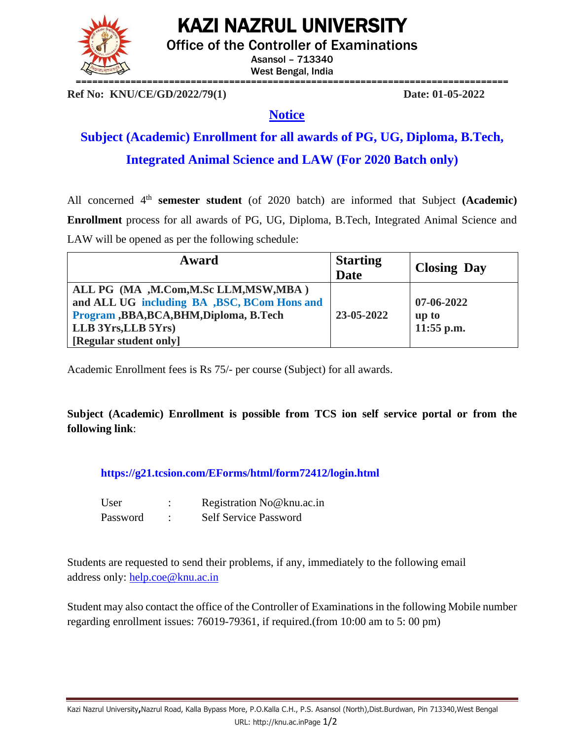# KAZI NAZRUL UNIVERSITY

Office of the Controller of Examinations

Asansol – 713340 West Bengal, India ===============================================================================

**Ref No: KNU/CE/GD/2022/79(1) Date: 01-05-2022**

### **Notice**

## **Subject (Academic) Enrollment for all awards of PG, UG, Diploma, B.Tech, Integrated Animal Science and LAW (For 2020 Batch only)**

All concerned 4<sup>th</sup> semester student (of 2020 batch) are informed that Subject (Academic) **Enrollment** process for all awards of PG, UG, Diploma, B.Tech, Integrated Animal Science and LAW will be opened as per the following schedule:

| Award                                                                                                                                                                                 | <b>Starting</b><br><b>Date</b> | <b>Closing Day</b>                        |
|---------------------------------------------------------------------------------------------------------------------------------------------------------------------------------------|--------------------------------|-------------------------------------------|
| ALL PG (MA , M.Com, M.Sc LLM, MSW, MBA)<br>and ALL UG including BA , BSC, BCom Hons and<br>Program , BBA, BCA, BHM, Diploma, B. Tech<br>LLB 3Yrs, LLB 5Yrs)<br>[Regular student only] | 23-05-2022                     | $07 - 06 - 2022$<br>up to<br>$11:55$ p.m. |

Academic Enrollment fees is Rs 75/- per course (Subject) for all awards.

**Subject (Academic) Enrollment is possible from TCS ion self service portal or from the following link**:

**<https://g21.tcsion.com/EForms/html/form72412/login.html>**

| User     | Registration No@knu.ac.in    |
|----------|------------------------------|
| Password | <b>Self Service Password</b> |

Students are requested to send their problems, if any, immediately to the following email address only: [help.coe@knu.ac.in](mailto:help.coe@knu.ac.in)

Student may also contact the office of the Controller of Examinations in the following Mobile number regarding enrollment issues: 76019-79361, if required.(from 10:00 am to 5: 00 pm)